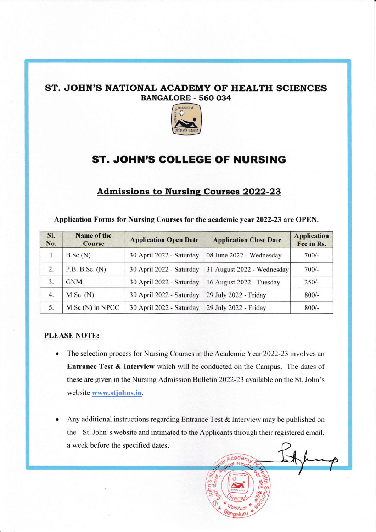## ST. JOHN'S NATIONAL ACADEMY OF HEALTH SCIENCES BANGALORE. 560 O34



## ST. JOHN'S GOLLEGE OF NURSING

## Admissions to Nursing Courses 2022-23

|  |  | Application Forms for Nursing Courses for the academic year 2022-23 are OPEN. |  |
|--|--|-------------------------------------------------------------------------------|--|
|--|--|-------------------------------------------------------------------------------|--|

| SI.<br>No. | Name of the<br><b>Course</b> | <b>Application Open Date</b> | <b>Application Close Date</b> | <b>Application</b><br>Fee in Rs. |
|------------|------------------------------|------------------------------|-------------------------------|----------------------------------|
|            | B.Sc.(N)                     | 30 April 2022 - Saturday     | 08 June 2022 - Wednesday      | $700/-$                          |
| 2.         | P.B. B.Sc. (N)               | 30 April 2022 - Saturday     | 31 August 2022 - Wednesday    | $700/-$                          |
| 3.         | <b>GNM</b>                   | 30 April 2022 - Saturday     | 16 August 2022 - Tuesday      | $250/-$                          |
| 4.         | M.Sc. (N)                    | 30 April 2022 - Saturday     | 29 July 2022 - Friday         | $800/-$                          |
| 5.         | M.Sc.(N) in NPCC             | 30 April 2022 - Saturday     | 29 July 2022 - Friday         | $800/-$                          |

## PLEASE NOTE:

- The selection process for Nursing Courses in the Academic Year 2022-23 involves an Entrance Test & Interview which will be conducted on the Campus. The dates of these are given in the Nursing Admission Bulletin 2022-23 available on the St. John's website www.stjohns.in.
- Any additional instructions regarding Entrance Test & Interview may be published on the St. John's website and intimated to the Applicants through their registered email, a week before the specified dates.

+  $\sum_{i=1}^{N}$ 

cader

\* #ortq,rs

\* r\4

\* \*

C .c